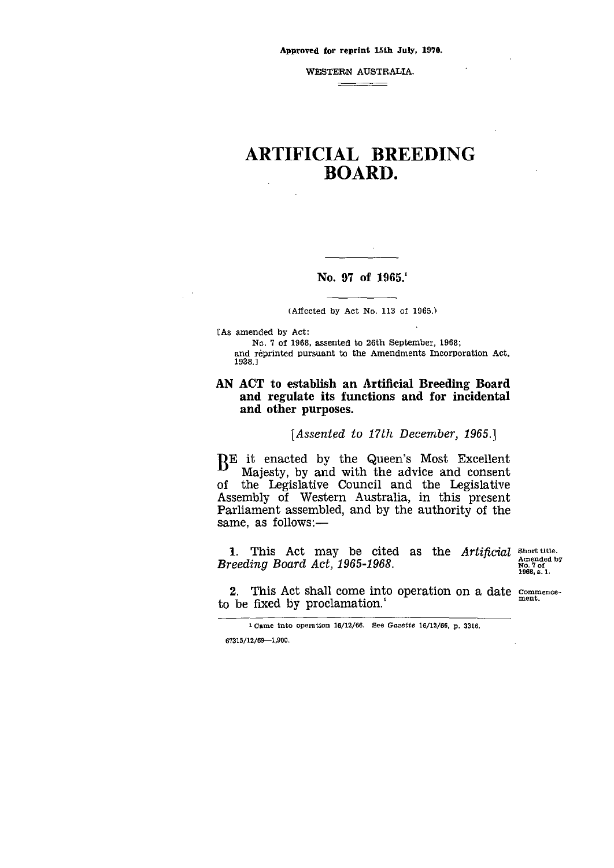WESTERN AUSTRALIA.

## $\qquad \qquad \overbrace{\qquad \qquad }$

# ARTIFICIAL BREEDING BOARD.

## No. 97 of 1965.'

#### (Affected by Act No. 113 of 1965.)

[As amended by Act:

No. 7 of 1968, assented to 26th September, 1968; and reprinted pursuant to the Amendments Incorporation Act, 1938.1

## AN ACT to establish an Artificial Breeding Board and regulate its functions and for incidental and other purposes.

## *[Assented to 17th December, 1965.]*

 $B<sup>E</sup>$  it enacted by the Queen's Most Excellent Matesty, by and with the advice and consent Majesty, by and with the advice and consent of the Legislative Council and the Legislative Assembly of Western Australia, in this present Parliament assembled, and by the authority of the same, as follows:—

1. This Act may be cited as the *Artificial* short title. *Breeding Board Act, 1965-1968.*

Amended by No. 7 of 1968, s. 1.

2. This Act shall come into operation on a date  $\frac{\text{commence}}{\text{ment}}$ . to be fixed by proclamation.'

<sup>1</sup> came into operation 16/12/66. See *Gazette* 16/12/66, p. 3316. 67315/12/69-1,900.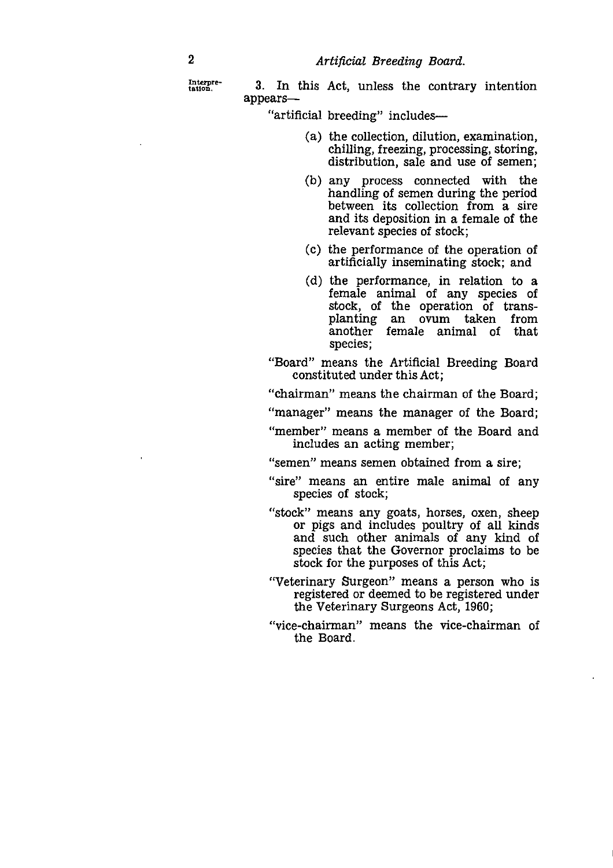**Interpre-**

2<br> *Artificial Breeding Board.*<br>
Interpre-<br> **3.** In this Act, unless the contra<br>
appears— 3. In this Act, unless the contrary intention appears

"artificial breeding" includes

- (a) the collection, dilution, examination, chilling, freezing, processing, storing, distribution, sale and use of semen;
- (b) any process connected with the handling of semen during the period between its collection from a sire and its deposition in a female of the relevant species of stock;
- (c) the performance of the operation of artificially inseminating stock; and
- (d) the performance, in relation to a female animal of any species of stock, of the operation of transplanting an ovum taken from another female animal of that species;

"Board" means the Artificial Breeding Board constituted under this Act;

"chairman" means the chairman of the Board;

"manager" means the manager of the Board;

"member" means a member of the Board and includes an acting member;

"semen" means semen obtained from a sire;

- "sire" means an entire male animal of any species of stock;
- "stock" means any goats, horses, oxen, sheep or pigs and includes poultry of all kinds and such other animals of any kind of species that the Governor proclaims to be stock for the purposes of this Act;
- "Veterinary Surgeon" means a person who is registered or deemed to be registered under the Veterinary Surgeons Act, 1960;
- "vice-chairman" means the vice-chairman of the Board.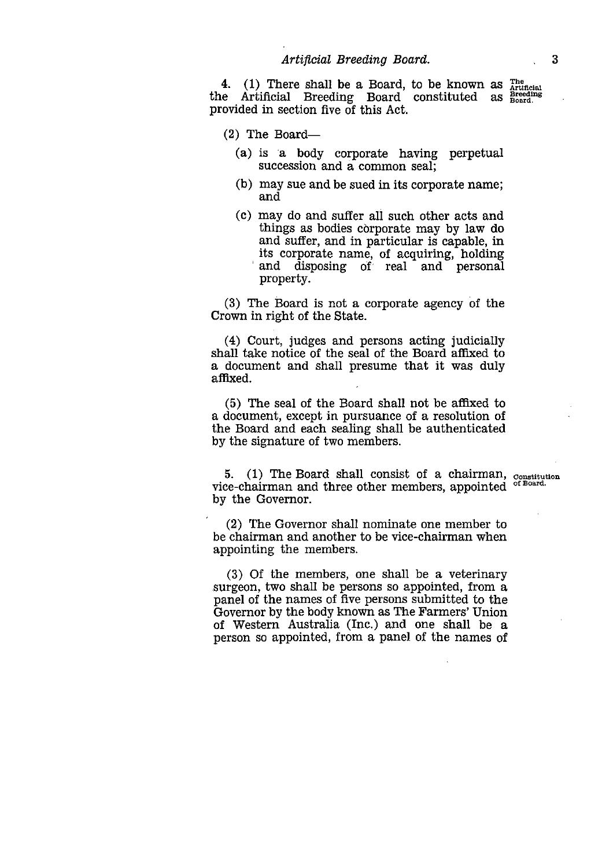*Artificial Breeding Board.* 3<br>
ere shall be a Board, to be known as  $\frac{3}{\text{Rilb}^2}$ <br>
Breeding Board constituted as  $\frac{3}{\text{Bored}^2}$ The Artificial Breeding Board. 4. (1) There shall be a Board, to be known as the Artificial Breeding Board constituted as provided in section five of this Act.

(2) The Board

- (a) is a body corporate having perpetual succession and a common seal;
- (b) may sue and be sued in its corporate name; and
- (c) may do and suffer all such other acts and things as bodies corporate may by law do and suffer, and in particular is capable, in its corporate name, of acquiring, holding and disposing of real and personal property.

(3) The Board is not a corporate agency of the Crown in right of the State.

(4) Court, judges and persons acting judicially shall take notice of the seal of the Board affixed to a document and shall presume that it was duly affixed.

(5) The seal of the Board shall not be affixed to a document, except in pursuance of a resolution of the Board and each sealing shall be authenticated by the signature of two members.

5. (1) The Board shall consist of a chairman,  $\sigma$ . (1) The Board shall consist of a chairman,  $\sigma$ <sub>onstitution</sub> vice-chairman and three other members, appointed <sup>of Board.</sup> by the Governor.

(2) The Governor shall nominate one member to be chairman and another to be vice-chairman when appointing the members.

(3) Of the members, one shall be a veterinary surgeon, two shall be persons so appointed, from a panel of the names of five persons submitted to the Governor by the body known as The Farmers' Union of Western Australia (Inc.) and one shall be a person so appointed, from a panel of the names of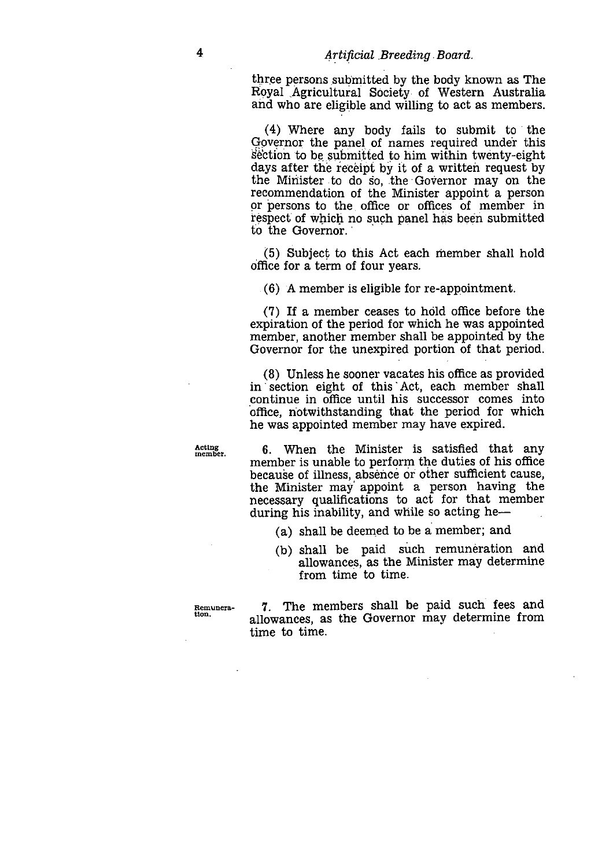three persons submitted by the body known as The Royal .Agricultural Society•of Western Australia and who are eligible and willing to act as members.

(4) Where any body fails to submit to the Governor the panel of names required under this Section to be submitted to him within twenty-eight days after the receipt by it of a written request by the Minister to do so, the Governor may on the recommendation of the Minister appoint a person or persons to the office or offices of member in respect of which no such panel has been submitted to the Governor.

(5) Subject to this Act each member shall hold office for a term of four years.

(6) A member is eligible for re-appointment.

 $(7)$  If a member ceases to hold office before the expiration of the period for which he was appointed member, another member shall be appointed by the Governor for the unexpired portion of that period.

(8) Unless he sooner vacates his office as provided in section eight of this Act, each member shall continue in office until his successor comes into office, notwithstanding that the period for which he was appointed member may have expired.

**Acting member.**

6. When the Minister is satisfied that any member is unable to perform the duties of his office because of illness, absence or other sufficient cause, the Minister may appoint a person having the necessary qualifications to act for that member during his inability, and while so acting he

- (a) shall be deemed to be a member; and
- (b) shall be paid such remuneration and allowances, as the Minister may determine from time to time.

**Remunera-tion.** 7. The members shall be paid such fees and allowances, as the Governor may determine from time to time.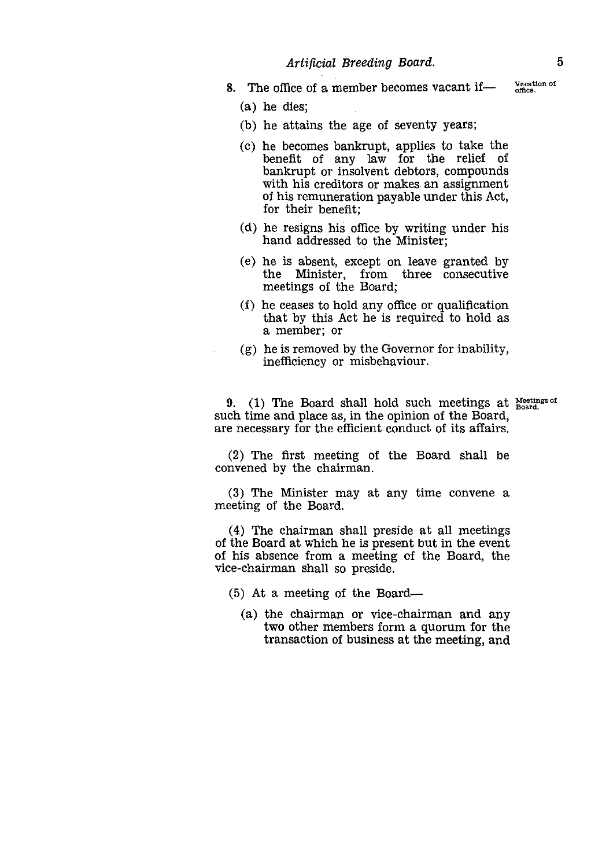*Artificial Breeding Board.* 5<br>
ice of a member becomes vacant if intereduced by  $\frac{1}{\text{m}}$  (section of dies: 8. The office of a member becomes vacant if

(a) he dies;

- (b) he attains the age of seventy years;
- (c) he becomes bankrupt, applies to take the benefit of any law for the relief of bankrupt or insolvent debtors, compounds with his creditors or makes an assignment of his remuneration payable under this Act, for their benefit;
- (d) he resigns his office by writing under his hand addressed to the Minister;
- (e) he *is* absent, except on leave granted by the Minister, from three consecutive meetings of the Board;
- (f) he ceases to hold any office or qualification that by this Act he is required to hold as a member; or
- (g) he is removed by the Governor for inability, inefficiency or misbehaviour.

(g) he is removed by the Governor for inability,<br>inefficiency or misbehaviour.<br>9. (1) The Board shall hold such meetings at<br>ch time and place as, in the opinion of the Board, such time and place as, in the opinion of the Board, are necessary for the efficient conduct of its affairs.

gs of

(2) The first meeting of the Board shall be convened by the chairman.

(3) The Minister may at any time convene a meeting of the Board.

(4) The chairman shall preside at all meetings of the Board at which he is present but in the event of his absence from a meeting of the Board, the vice-chairman shall so preside.

- (5) At a meeting of the Board
	- (a) the chairman or vice-chairman and any two other members form a quorum for the transaction of business at the meeting, and

Vacation of office.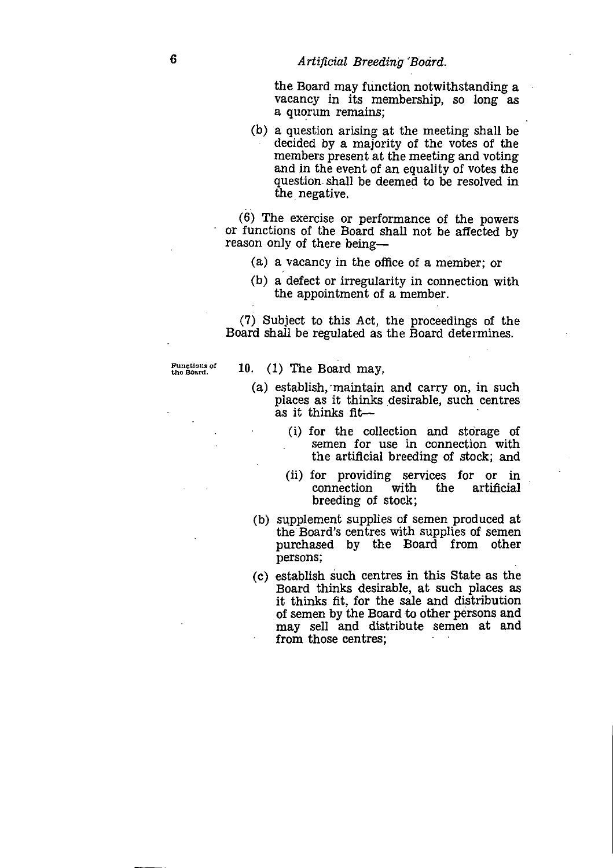the Board may function notwithstanding a vacancy in its membership, so long *as a* quorum remains;

(b) a question arising at the meeting shall be decided by a majority of the votes of the members present at the meeting and voting and in the event of an equality of votes the question shall be deemed to be resolved in the negative.

(6) The exercise or performance of the powers or functions of the Board shall not be affected by reason only of there being

- (a) a vacancy in the office of a member; or
- (b) a defect or irregularity in connection with the appointment of a member.

(7) Subject to this Act, the proceedings of the Board shall be regulated as the Board determines.

Functions of

10.  $(1)$  The Board may,

- (a) establish, 'maintain and carry on, in such places as it thinks desirable, such centres *as* it thinks fit
	- (1) for the collection and storage of semen for use in connection with the artificial breeding of stock; and
	- (ii) for providing services for or in connection with the artificial breeding of stock;
- (b) supplement supplies of semen produced at the Board's centres with supplies of semen purchased by the Board from other persons;
- (c) establish such centres in this State as the Board thinks desirable, at such places *as* it thinks fit, for the sale and distribution of semen by the Board to other persons and may sell and distribute semen at and from those centres;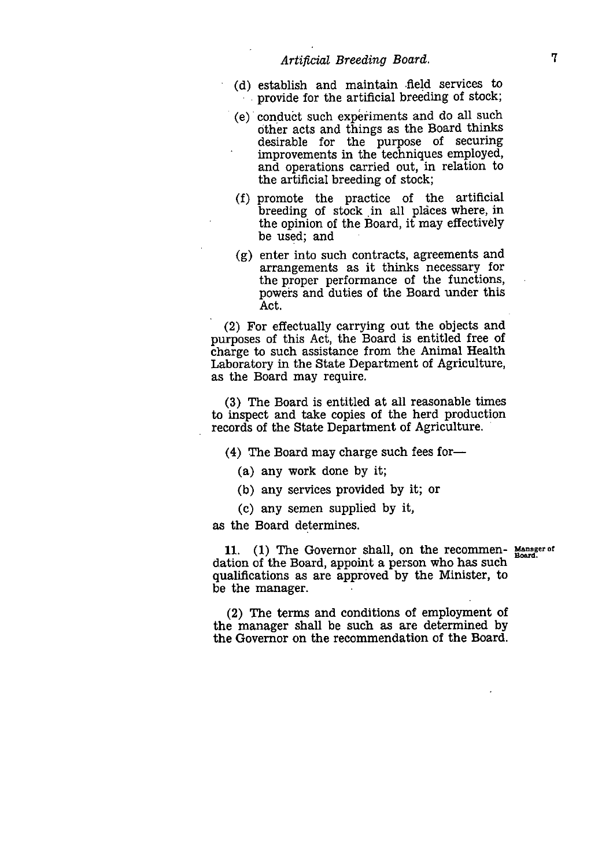- (d) establish and maintain field services to provide for the artificial breeding of stock;
- (e) conduct such experiments and do all such other acts and things as the Board thinks desirable for the purpose of securing improvements in the techniques employed, and operations carried out, in relation to the artificial breeding of stock;
- promote the practice of the artificial (f) breeding of stock in all places where, in the opinion of the Board, it may effectively be used; and
- (g) enter into such contracts, agreements and arrangements as it thinks necessary for the proper performance of the functions, powers and duties of the Board under this Act.

(2) For effectually carrying out the objects and purposes of this Act, the Board is entitled free of charge to such assistance from the Animal Health Laboratory in the State Department of Agriculture, as the Board may require.

(3) The Board is entitled at all reasonable times to inspect and take copies of the herd production records of the State Department of Agriculture.

(4) The Board may charge such fees for

- (a) any work done by it;
- (b) any services provided by it; or
- (c) any semen supplied by it,

as the Board determines.

11. (1) The Governor shall, on the recommen- Manager of dation of the Board, appoint a person who has such qualifications as are approved by the Minister, to be the manager.

(2) The terms and conditions of employment of the manager shall be such *as are* determined by the Governor on the recommendation of the Board.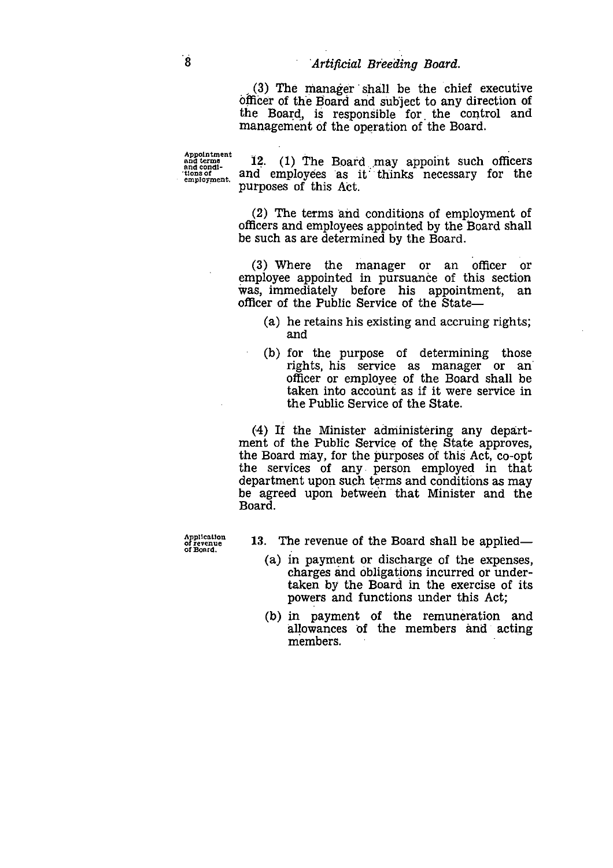(3) The manager shall be the chief executive officer of the Board and subject to any direction of the Board, is responsible for the control and management of the operation of the Board. **and Breeding Board.**<br>
(3) The manager shall be the chief executive<br>
officer of the Board and subject to any direction of<br>
the Board, is responsible for the control and<br>
management of the operation of the Board.<br> **Appointm** (3) The manager shall be the chief executive<br>officer of the Board and subject to any direction of<br>the Board, is responsible for the control and<br>management of the operation of the Board.<br>Appointment<br>and terms<br> $\frac{1}{2}$ . (1

Appointment<br>and terms<br>and condi-<br>tions of<br>employment.

purposes of this Act.

(2) The terms and conditions of employment of officers and employees appointed by the Board shall be such as are determined by the Board.

(3) Where the manager or an officer or employee appointed in pursuance of this section was, immediately before his appointment, an officer of the Public Service of the State—

- (a) he retains his existing and accruing rights; and
- (b) for the purpose of determining those rights, his service as manager or an' officer or employee of the Board shall be taken into account as if it were service in the Public Service of the State.

(4) If the Minister administering any department of the Public Service of the State approves, the Board niay, for the purposes of this Act, co-opt the services of any person employed in that department upon such terms and conditions as may be agreed upon between that Minister and the Board.

**Application of revenue of Board.**

- 13. The revenue of the Board shall be applied
	- (a) in payment or discharge of the expenses, charges and obligations incurred or undertaken by the Board in the exercise of its powers and functions under this Act;
	- (b) in payment of the remuneration and allowances of the members and acting members.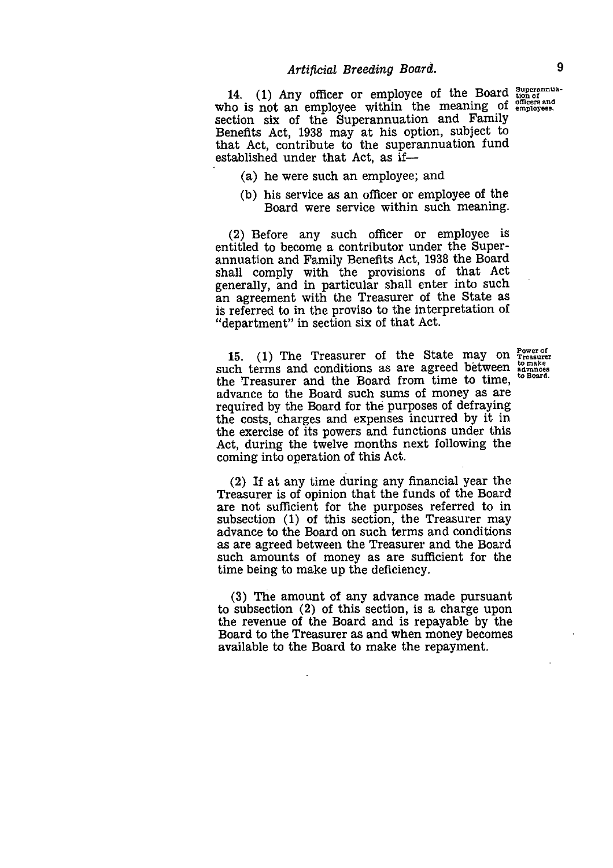14. (1) Any officer or employee of the Board  $\frac{\text{Supers than}}{\text{Supers of}}$ who is not an employee within the meaning of employees. section six of the Superannuation and Family Benefits Act, 1938 may at his option, subject to that Act, contribute to the superannuation fund established under that Act, *as* if

- (a) he were such an employee; and
- (b) his service as an officer or employee of the Board were service within such meaning.

(2) Before any such officer or employee is entitled to become a contributor under the Superannuation and Family Benefits Act, 1938 the Board shall comply with the provisions of that Act generally, and in particular shall enter into such an agreement with the Treasurer of the State as is referred to in the proviso to the interpretation of "department" in section six of that Act.

15. (1) The Treasurer of the State may on such terms and conditions as are agreed between the Treasurer and the Board from time to time, advance to the Board such sums of money as are required by the Board for the purposes of defraying the costs, charges and expenses incurred by it in the exercise of its powers and functions under this Act, during the twelve months next following the coming into operation of this Act. Power of Treasurer to make advances to Board.

(2) If at any time during any financial year the Treasurer is of opinion that the funds of the Board are not sufficient for the purposes referred to in subsection (1) of this section, the Treasurer may advance to the Board on such terms and conditions as are agreed between the Treasurer and the Board such amounts of money as are sufficient for the time being to make up the deficiency.

(3) The amount of any advance made pursuant to subsection (2) of this section, is a charge upon the revenue of the Board and is repayable by the Board to the Treasurer *as* and when money becomes available to the Board to make the repayment.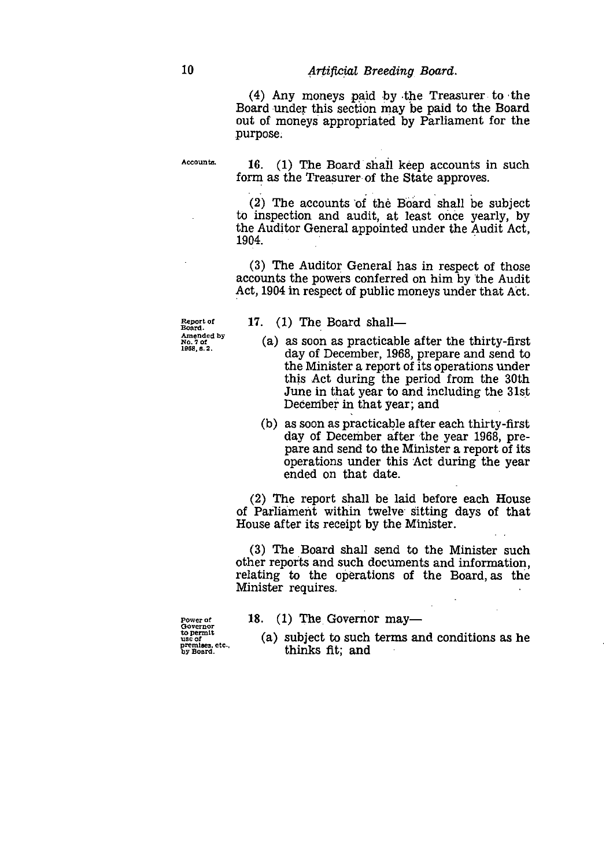10 Artificial Breeding Board.<br>
(4) Any moneys paid by the Trea<br>
Board under this section may be paid (4) Any moneys paid by the Treasurer to the Board under this section may be paid to the Board out of moneys appropriated by Parliament for the purpose.

**AccoUnts.**

• 16. (1) The Board shall keep accounts in such form as the Treasurer of the State approves.

(2) The accounts 'of the Board shall be subject to inspection and audit, at least once yearly, by the Auditor General appointed under the Audit Act, 1904.

(3) The Auditor General has in respect of those accounts the powers conferred on him by the Audit Act, 1904 in respect of public moneys under that Act.

**Report of Board. Amended by No. 7 of 11388, 8.2.**

- 17. (1) The Board shall
	- (a) as soon as practicable after the thirty-first day of December, 1968, prepare and send to the Minister a report of its operations under this Act during the period from the 30th June in that year to and including the 31st December in that year; and
	- *(b) as* soon as practicable after each thirty-first day of December after the year 1968, prepare and send to the Minister a report of its operations under this Act during the year ended on that date.

(2) The report shall be laid before each House of Parliament within twelve sitting days of that House after its receipt by the Minister.

(3) The Board shall send to the Minister such other reports and such documents and information, relating to the operations of the Board, *as* the Minister requires.

18.  $(1)$  The Governor may —

**Power of Governor to permit use of premises, etc.. by Board.**

(a) subject to such terms and conditions *as* he thinks fit; and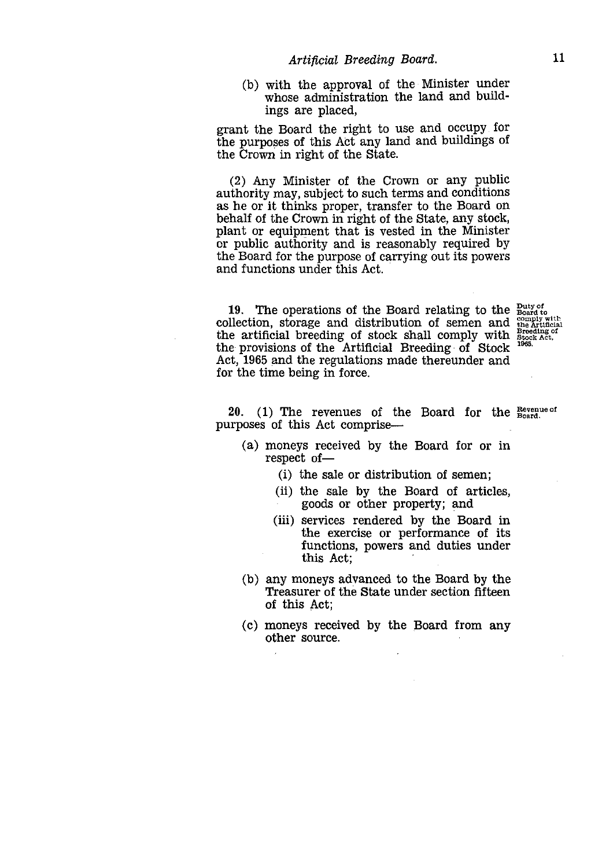*Artificial Breeding Board.* 11<br>
11 the approval of the Minister under<br>
se administration the land and build-(b) with the approval of the Minister under whose administration the land and buildings are placed,

grant the Board the right to use and occupy for the purposes of this Act any land and buildings of the Crown in right of the State.

(2) Any Minister of the Crown or any public authority may, subject to such terms and conditions as he or it thinks proper, transfer to the Board on behalf of the Crown in right of the State, any stock, plant or equipment that is vested in the Minister or public authority and is reasonably required by the Board for the purpose of carrying out its powers and functions under this Act.

19. The operations of the Board relating to the collection, storage and distribution of semen and the artificial breeding of stock shall comply with the provisions of the Artificial Breeding of Stock Act, 1965 and the regulations made thereunder and for the time being in force.

Duty of Board to comply with the Artificial Breeding of Stock Act, 1965,

20. (1) The revenues of the Board for the  $R_{bound}^{Revenue of}$ purposes of this Act comprise

- (a) moneys received by the Board for or in respect of-
	- (i) the sale or distribution of semen;
	- (ii) the sale by the Board of articles, goods or other property; and
	- (iii) services rendered by the Board in the exercise or performance of its functions, powers and duties under this Act;
- (b) any moneys advanced to the Board by the Treasurer of the State under section fifteen of this Act;
- (c) moneys received by the Board from any other source.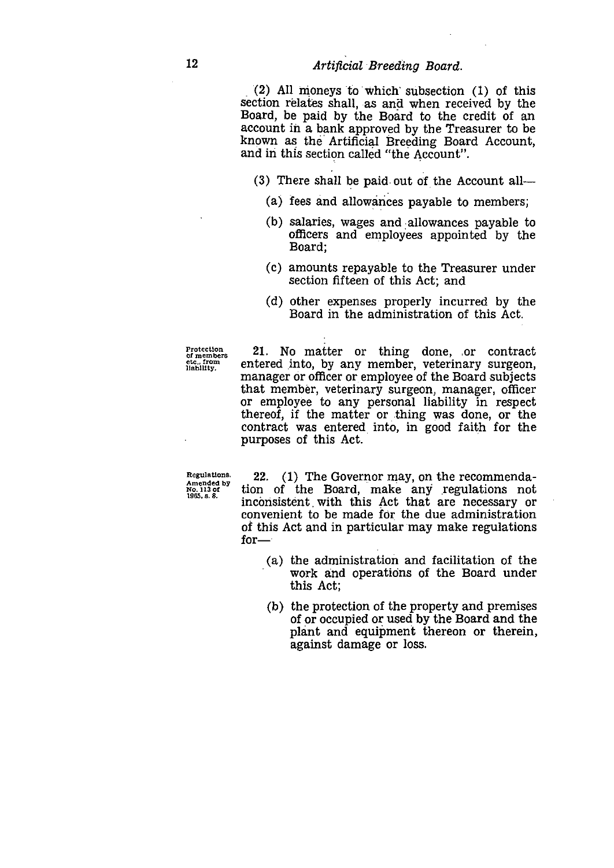12 Artificial Breeding Board.<br>
(2) All moneys to which subsection<br>
section relates shall, as and when rec (2) All moneys to which' subsection (1) of this section relates shall, as and when received by the Board, be paid by the Board to the credit of an account in a bank approved by the Treasurer to be known as the Artificial Breeding Board Account, and in this section called "the Account".

(3) There shall be paid out of the Account all

- (a) fees and allowances payable to members;
- (b) salaries, wages and allowances payable to officers and employees appointed by the Board;
- (c) amounts repayable to the Treasurer under section fifteen of this Act; and
- (d) other expenses properly incurred by the Board in the administration of this Act.

**Protection Of members etc.. from liability.**

21. No matter or thing done, .or contract entered into, by any member, veterinary surgeon, manager or officer or employee of the Board subjects that member, veterinary surgeon, manager, officer or employee to any personal liability in respect thereof, if the matter or thing was done, or the contract was entered into, in good faith for the purposes of this Act.

**Regulations. Amended by No. 1/3 of 1985. s. 8.**

22. (1) The Governor may, on the recommendation of the Board, make any regulations not inconsistent with this Act that are necessary or convenient to be made for the due administration of this Act and in particular may make regulations for Examployee to any personal liability in respect<br>
eof, if the matter or thing was done, or the<br>
tract was entered into, in good faith for the<br>
poses of this Act.<br>
2. (1) The Governor may, on the recommenda-<br>
of the Board,

- (a) the administration and facilitation of the this Act;
- (b) the protection of the property and premises of or occupied or used by the Board and the plant and equipment thereon or therein, against damage or loss.